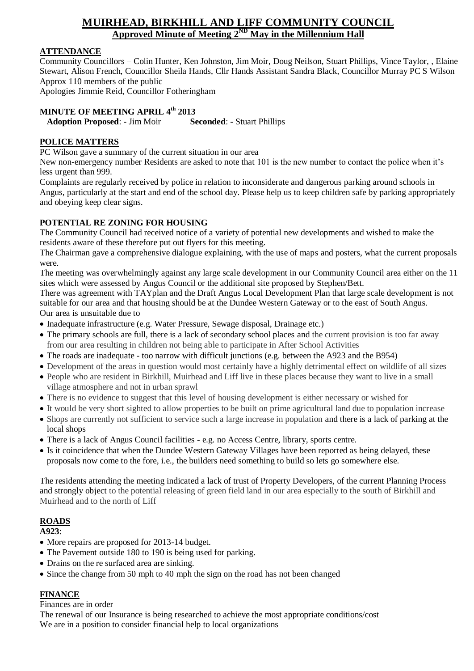# **MUIRHEAD, BIRKHILL AND LIFF COMMUNITY COUNCIL <u>Approved Minute of Meeting 2<sup>ND</sup> May in the Millennium Hall</u>**

## **ATTENDANCE**

Community Councillors – Colin Hunter, Ken Johnston, Jim Moir, Doug Neilson, Stuart Phillips, Vince Taylor, , Elaine Stewart, Alison French, Councillor Sheila Hands, Cllr Hands Assistant Sandra Black, Councillor Murray PC S Wilson Approx 110 members of the public Apologies Jimmie Reid, Councillor Fotheringham

## **MINUTE OF MEETING APRIL 4th 2013**

**Adoption Proposed**: - Jim Moir **Seconded**: - Stuart Phillips

## **POLICE MATTERS**

PC Wilson gave a summary of the current situation in our area

New non-emergency number Residents are asked to note that 101 is the new number to contact the police when it's less urgent than 999.

Complaints are regularly received by police in relation to inconsiderate and dangerous parking around schools in Angus, particularly at the start and end of the school day. Please help us to keep children safe by parking appropriately and obeying keep clear signs.

## **POTENTIAL RE ZONING FOR HOUSING**

The Community Council had received notice of a variety of potential new developments and wished to make the residents aware of these therefore put out flyers for this meeting.

The Chairman gave a comprehensive dialogue explaining, with the use of maps and posters, what the current proposals were.

The meeting was overwhelmingly against any large scale development in our Community Council area either on the 11 sites which were assessed by Angus Council or the additional site proposed by Stephen/Bett.

There was agreement with TAYplan and the Draft Angus Local Development Plan that large scale development is not suitable for our area and that housing should be at the Dundee Western Gateway or to the east of South Angus. Our area is unsuitable due to

- Inadequate infrastructure (e.g. Water Pressure, Sewage disposal, Drainage etc.)
- The primary schools are full, there is a lack of secondary school places and the current provision is too far away from our area resulting in children not being able to participate in After School Activities
- The roads are inadequate too narrow with difficult junctions (e.g. between the A923 and the B954)
- Development of the areas in question would most certainly have a highly detrimental effect on wildlife of all sizes
- People who are resident in Birkhill, Muirhead and Liff live in these places because they want to live in a small village atmosphere and not in urban sprawl
- There is no evidence to suggest that this level of housing development is either necessary or wished for
- It would be very short sighted to allow properties to be built on prime agricultural land due to population increase
- Shops are currently not sufficient to service such a large increase in population and there is a lack of parking at the local shops
- There is a lack of Angus Council facilities e.g. no Access Centre, library, sports centre.
- Is it coincidence that when the Dundee Western Gateway Villages have been reported as being delayed, these proposals now come to the fore, i.e., the builders need something to build so lets go somewhere else.

The residents attending the meeting indicated a lack of trust of Property Developers, of the current Planning Process and strongly object to the potential releasing of green field land in our area especially to the south of Birkhill and Muirhead and to the north of Liff

## **ROADS**

**A923**:

- More repairs are proposed for 2013-14 budget.
- The Pavement outside 180 to 190 is being used for parking.
- Drains on the re surfaced area are sinking.
- Since the change from 50 mph to 40 mph the sign on the road has not been changed

## **FINANCE**

Finances are in order

The renewal of our Insurance is being researched to achieve the most appropriate conditions/cost We are in a position to consider financial help to local organizations